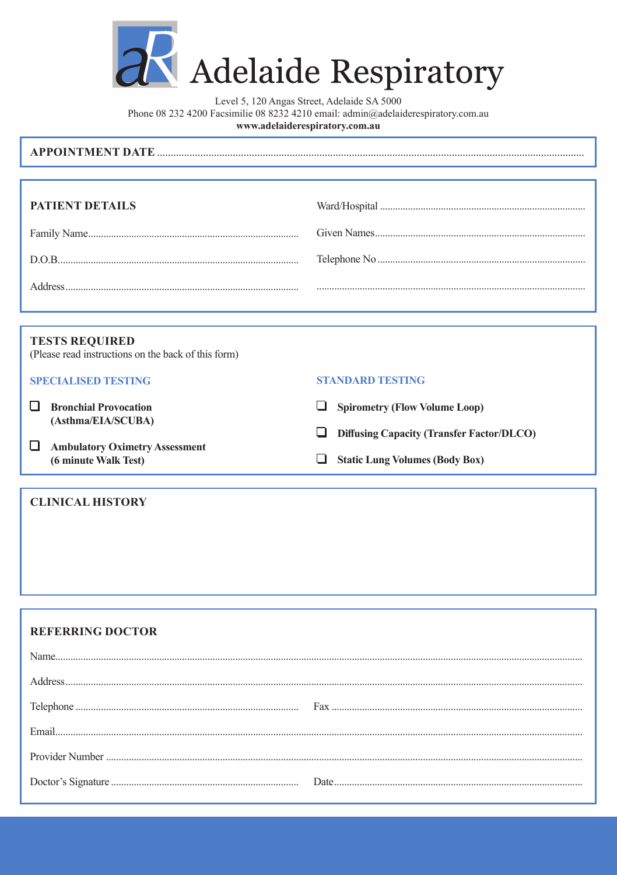

Adelaide Respiratory

Level 5, 120 Angas Street, Adelaide SA 5000 Phone 08 232 4200 Facsimilie 08 8232 4210 email: admin@adelaiderespiratory.com.au www.adelaiderespiratory.com.au

| <b>APPOINTMENT DATE</b> |  |
|-------------------------|--|
|-------------------------|--|

| <b>PATIENT DETAILS</b> |  |
|------------------------|--|
|                        |  |
|                        |  |
|                        |  |

# **TESTS REQUIRED**

(Please read instructions on the back of this form)

## **SPECIALISED TESTING**

- $\Box$  Bronchial Provocation (Asthma/EIA/SCUBA)
- Ambulatory Oximetry Assessment (6 minute Walk Test)

#### **CLINICAL HISTORY**

#### **STANDARD TESTING**

- Spirometry (Flow Volume Loop)
- **Diffusing Capacity (Transfer Factor/DLCO)**
- Static Lung Volumes (Body Box)

#### **REFERRING DOCTOR**